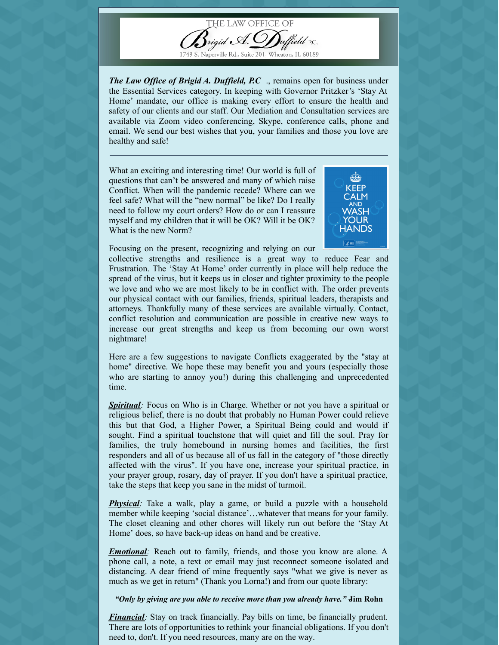

1749 S. Naperville Rd., Suite 201, Wheaton, IL 60189

*The Law Office of Brigid A. Duffield, P.C.*, remains open for business under the Essential Services category. In keeping with Governor Pritzker's 'Stay At Home' mandate, our office is making every effort to ensure the health and safety of our clients and our staff. Our Mediation and Consultation services are available via Zoom video conferencing, Skype, conference calls, phone and email. We send our best wishes that you, your families and those you love are healthy and safe!

What an exciting and interesting time! Our world is full of questions that can't be answered and many of which raise Conflict. When will the pandemic recede? Where can we feel safe? What will the "new normal" be like? Do I really need to follow my court orders? How do or can I reassure myself and my children that it will be OK? Will it be OK? What is the new Norm?



Focusing on the present, recognizing and relying on our

collective strengths and resilience is a great way to reduce Fear and Frustration. The 'Stay At Home' order currently in place will help reduce the spread of the virus, but it keeps us in closer and tighter proximity to the people we love and who we are most likely to be in conflict with. The order prevents our physical contact with our families, friends, spiritual leaders, therapists and attorneys. Thankfully many of these services are available virtually. Contact, conflict resolution and communication are possible in creative new ways to increase our great strengths and keep us from becoming our own worst nightmare!

Here are a few suggestions to navigate Conflicts exaggerated by the "stay at home" directive. We hope these may benefit you and yours (especially those who are starting to annoy you!) during this challenging and unprecedented time.

**Spiritual**: Focus on Who is in Charge. Whether or not you have a spiritual or religious belief, there is no doubt that probably no Human Power could relieve this but that God, a Higher Power, a Spiritual Being could and would if sought. Find a spiritual touchstone that will quiet and fill the soul. Pray for families, the truly homebound in nursing homes and facilities, the first responders and all of us because all of us fall in the category of "those directly affected with the virus". If you have one, increase your spiritual practice, in your prayer group, rosary, day of prayer. If you don't have a spiritual practice, take the steps that keep you sane in the midst of turmoil.

**Physical**: Take a walk, play a game, or build a puzzle with a household member while keeping 'social distance'…whatever that means for your family. The closet cleaning and other chores will likely run out before the 'Stay At Home' does, so have back-up ideas on hand and be creative.

*Emotional*: Reach out to family, friends, and those you know are alone. A phone call, a note, a text or email may just reconnect someone isolated and distancing. A dear friend of mine frequently says "what we give is never as much as we get in return" (Thank you Lorna!) and from our quote library:

*"Only by giving are you able to receive more than you already have." -***Jim Rohn**

*Financial*: Stay on track financially. Pay bills on time, be financially prudent. There are lots of opportunities to rethink your financial obligations. If you don't need to, don't. If you need resources, many are on the way.